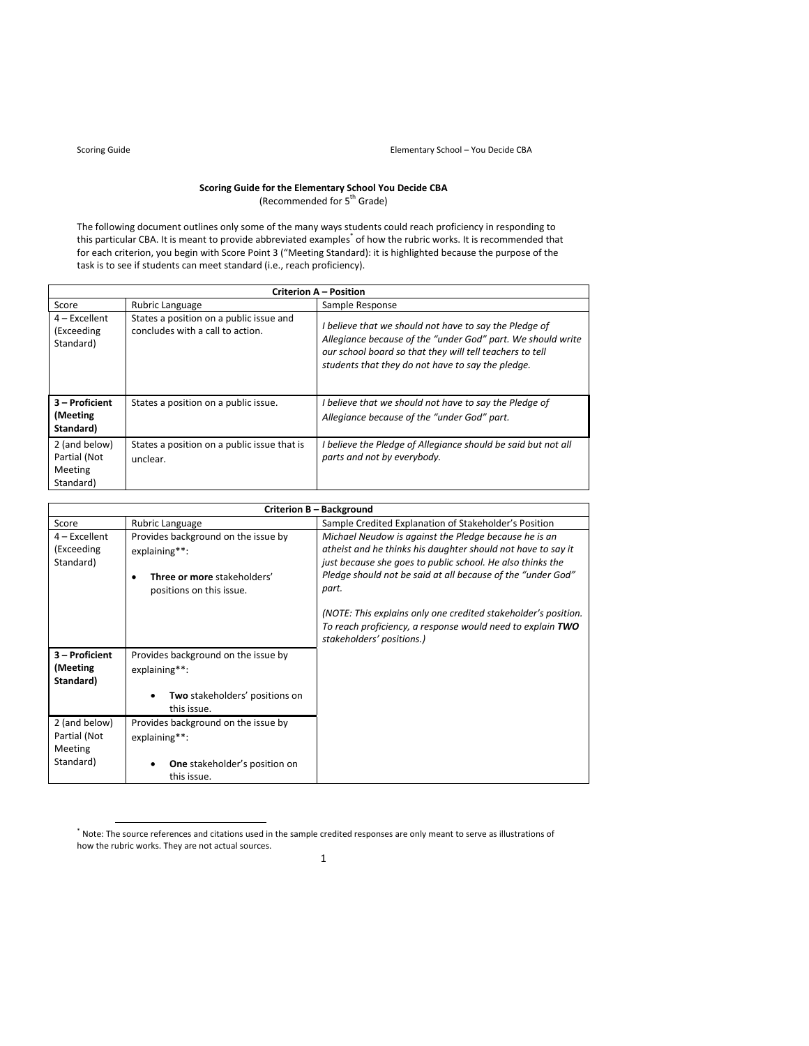# **Scoring Guide for the Elementary School You Decide CBA** (Recommended for 5th Grade)

The following document outlines only some of the many ways students could reach proficiency in responding to this particular CBA. It is meant to provide abbreviated examples<sup>\*</sup> of how the rubric works. It is recommended that for each criterion, you begin with Score Point 3 ("Meeting Standard): it is highlighted because the purpose of the task is to see if students can meet standard (i.e., reach proficiency).

| <b>Criterion A - Position</b>                         |                                                                             |                                                                                                                                                                                                                                        |  |  |  |
|-------------------------------------------------------|-----------------------------------------------------------------------------|----------------------------------------------------------------------------------------------------------------------------------------------------------------------------------------------------------------------------------------|--|--|--|
| Score                                                 | Rubric Language                                                             | Sample Response                                                                                                                                                                                                                        |  |  |  |
| $4$ – Excellent<br>(Exceeding<br>Standard)            | States a position on a public issue and<br>concludes with a call to action. | I believe that we should not have to say the Pledge of<br>Allegiance because of the "under God" part. We should write<br>our school board so that they will tell teachers to tell<br>students that they do not have to say the pledge. |  |  |  |
| 3 - Proficient<br>(Meeting)<br>Standard)              | States a position on a public issue.                                        | I believe that we should not have to say the Pledge of<br>Allegiance because of the "under God" part.                                                                                                                                  |  |  |  |
| 2 (and below)<br>Partial (Not<br>Meeting<br>Standard) | States a position on a public issue that is<br>unclear.                     | I believe the Pledge of Allegiance should be said but not all<br>parts and not by everybody.                                                                                                                                           |  |  |  |

|                                            |                                                                                                                 | <b>Criterion B - Background</b>                                                                                                                                                                                                                             |
|--------------------------------------------|-----------------------------------------------------------------------------------------------------------------|-------------------------------------------------------------------------------------------------------------------------------------------------------------------------------------------------------------------------------------------------------------|
| Score                                      | Rubric Language                                                                                                 | Sample Credited Explanation of Stakeholder's Position                                                                                                                                                                                                       |
| $4$ – Excellent<br>(Exceeding<br>Standard) | Provides background on the issue by<br>explaining**:<br>Three or more stakeholders'<br>positions on this issue. | Michael Neudow is against the Pledge because he is an<br>atheist and he thinks his daughter should not have to say it<br>just because she goes to public school. He also thinks the<br>Pledge should not be said at all because of the "under God"<br>part. |
|                                            |                                                                                                                 | (NOTE: This explains only one credited stakeholder's position.<br>To reach proficiency, a response would need to explain TWO<br>stakeholders' positions.)                                                                                                   |
| 3 – Proficient<br>(Meeting<br>Standard)    | Provides background on the issue by<br>explaining**:                                                            |                                                                                                                                                                                                                                                             |
|                                            | Two stakeholders' positions on<br>this issue.                                                                   |                                                                                                                                                                                                                                                             |
| 2 (and below)<br>Partial (Not<br>Meeting   | Provides background on the issue by<br>explaining**:                                                            |                                                                                                                                                                                                                                                             |
| Standard)                                  | <b>One</b> stakeholder's position on<br>this issue.                                                             |                                                                                                                                                                                                                                                             |

 \* Note: The source references and citations used in the sample credited responses are only meant to serve as illustrations of how the rubric works. They are not actual sources.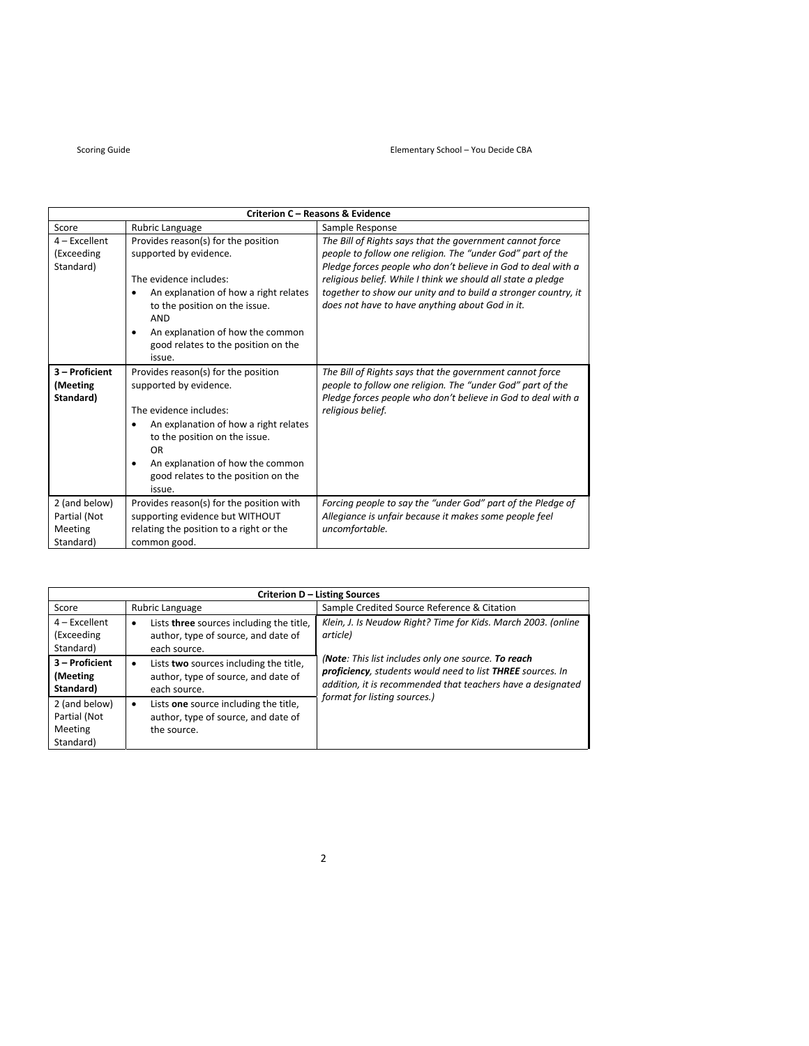| <b>Criterion C - Reasons &amp; Evidence</b>           |                                                                                                                                                                                                                                                                        |                                                                                                                                                                                                                                                                                                                                                                             |  |  |  |
|-------------------------------------------------------|------------------------------------------------------------------------------------------------------------------------------------------------------------------------------------------------------------------------------------------------------------------------|-----------------------------------------------------------------------------------------------------------------------------------------------------------------------------------------------------------------------------------------------------------------------------------------------------------------------------------------------------------------------------|--|--|--|
| Score                                                 | Rubric Language                                                                                                                                                                                                                                                        | Sample Response                                                                                                                                                                                                                                                                                                                                                             |  |  |  |
| $4$ – Excellent<br>(Exceeding<br>Standard)            | Provides reason(s) for the position<br>supported by evidence.<br>The evidence includes:<br>An explanation of how a right relates<br>to the position on the issue.<br><b>AND</b><br>An explanation of how the common<br>good relates to the position on the<br>issue.   | The Bill of Rights says that the government cannot force<br>people to follow one religion. The "under God" part of the<br>Pledge forces people who don't believe in God to deal with a<br>religious belief. While I think we should all state a pledge<br>together to show our unity and to build a stronger country, it<br>does not have to have anything about God in it. |  |  |  |
| 3 - Proficient<br>(Meeting<br>Standard)               | Provides reason(s) for the position<br>supported by evidence.<br>The evidence includes:<br>An explanation of how a right relates<br>٠<br>to the position on the issue.<br>OR<br>An explanation of how the common<br>٠<br>good relates to the position on the<br>issue. | The Bill of Rights says that the government cannot force<br>people to follow one religion. The "under God" part of the<br>Pledge forces people who don't believe in God to deal with a<br>religious belief.                                                                                                                                                                 |  |  |  |
| 2 (and below)<br>Partial (Not<br>Meeting<br>Standard) | Provides reason(s) for the position with<br>supporting evidence but WITHOUT<br>relating the position to a right or the<br>common good.                                                                                                                                 | Forcing people to say the "under God" part of the Pledge of<br>Allegiance is unfair because it makes some people feel<br>uncomfortable.                                                                                                                                                                                                                                     |  |  |  |

| <b>Criterion D - Listing Sources</b>                  |                                                                                                              |                                                                                                                                                                                  |  |  |  |  |
|-------------------------------------------------------|--------------------------------------------------------------------------------------------------------------|----------------------------------------------------------------------------------------------------------------------------------------------------------------------------------|--|--|--|--|
| Score                                                 | Rubric Language                                                                                              | Sample Credited Source Reference & Citation                                                                                                                                      |  |  |  |  |
| $4$ – Excellent<br>(Exceeding<br>Standard)            | Lists three sources including the title,<br>$\bullet$<br>author, type of source, and date of<br>each source. | Klein, J. Is Neudow Right? Time for Kids. March 2003. (online<br>article)                                                                                                        |  |  |  |  |
| 3 - Proficient<br>(Meeting<br>Standard)               | Lists two sources including the title,<br>$\bullet$<br>author, type of source, and date of<br>each source.   | (Note: This list includes only one source. To reach<br>proficiency, students would need to list THREE sources. In<br>addition, it is recommended that teachers have a designated |  |  |  |  |
| 2 (and below)<br>Partial (Not<br>Meeting<br>Standard) | Lists one source including the title,<br>$\bullet$<br>author, type of source, and date of<br>the source.     | format for listing sources.)                                                                                                                                                     |  |  |  |  |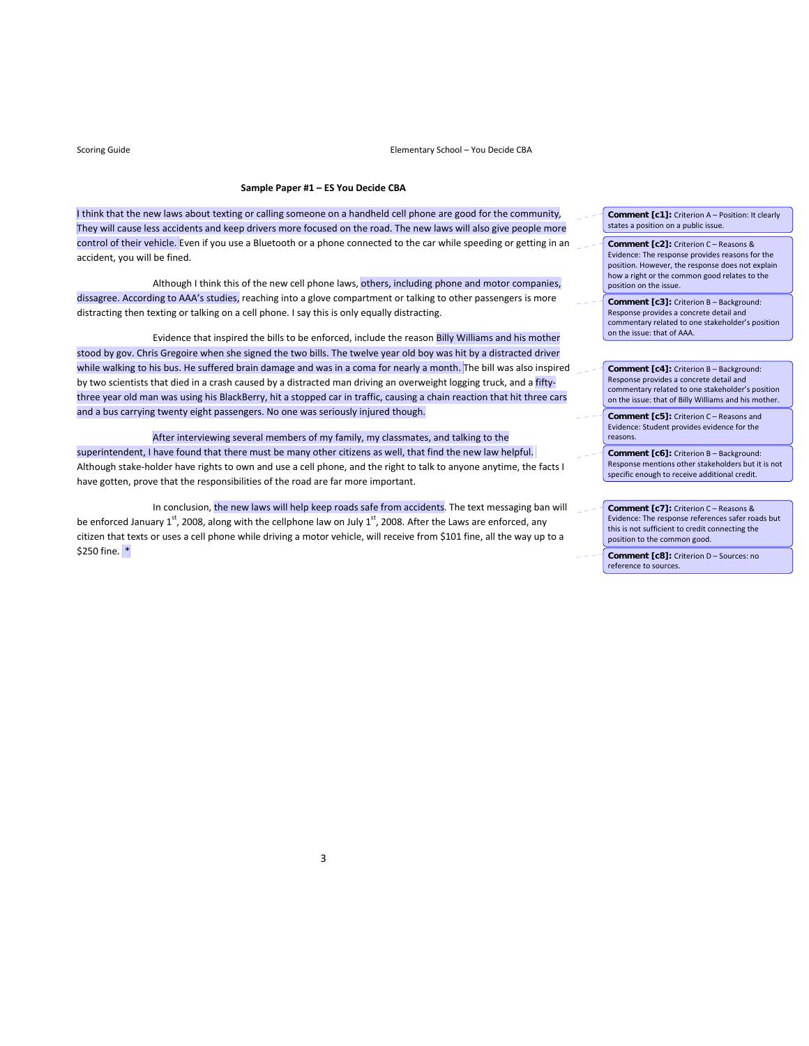Scoring Guide **Scoring Guide 
Scoring Guide CRA** 

### **Sample Paper #1 – ES You Decide CBA**

I think that the new laws about texting or calling someone on a handheld cell phone are good for the community, They will cause less accidents and keep drivers more focused on the road. The new laws will also give people more control of their vehicle. Even if you use a Bluetooth or a phone connected to the car while speeding or getting in an accident, you will be fined.

Although I think this of the new cell phone laws, others, including phone and motor companies, dissagree. According to AAA's studies, reaching into a glove compartment or talking to other passengers is more distracting then texting or talking on a cell phone. I say this is only equally distracting.

 Evidence that inspired the bills to be enforced, include the reason Billy Williams and his mother stood by gov. Chris Gregoire when she signed the two bills. The twelve year old boy was hit by a distracted driver while walking to his bus. He suffered brain damage and was in a coma for nearly a month. The bill was also inspired by two scientists that died in a crash caused by a distracted man driving an overweight logging truck, and a fiftythree year old man was using his BlackBerry, hit a stopped car in traffic, causing a chain reaction that hit three cars and a bus carrying twenty eight passengers. No one was seriously injured though.

 After interviewing several members of my family, my classmates, and talking to the superintendent, I have found that there must be many other citizens as well, that find the new law helpful. Although stake‐holder have rights to own and use a cell phone, and the right to talk to anyone anytime, the facts I have gotten, prove that the responsibilities of the road are far more important.

In conclusion, the new laws will help keep roads safe from accidents. The text messaging ban will be enforced January 1<sup>st</sup>, 2008, along with the cellphone law on July 1<sup>st</sup>, 2008. After the Laws are enforced, any citizen that texts or uses a cell phone while driving a motor vehicle, will receive from \$101 fine, all the way up to a \$250 fine. \*

- **Comment [c1]:** Criterion A Position: It clearly states a position on a public issue.
- **Comment [c2]:** Criterion C Reasons & Evidence: The response provides reasons for the position. However, the response does not explain how a right or the common good relates to the position on the issue.
- **Comment [c3]:** Criterion B Background: Response provides a concrete detail and commentary related to one stakeholder's position on the issue: that of AAA.
- **Comment [c4]:** Criterion B Background: Response provides a concrete detail and commentary related to one stakeholder's position on the issue: that of Billy Williams and his mother.
- **Comment [c5]:** Criterion C Reasons and Evidence: Student provides evidence for the reasons.
- **Comment [c6]:** Criterion B Background: Response mentions other stakeholders but it is not specific enough to receive additional credit.
- **Comment [c7]:** Criterion C Reasons & Evidence: The response references safer roads but this is not sufficient to credit connecting the position to the common good.
- **Comment [c8]:** Criterion D Sources: no reference to sources.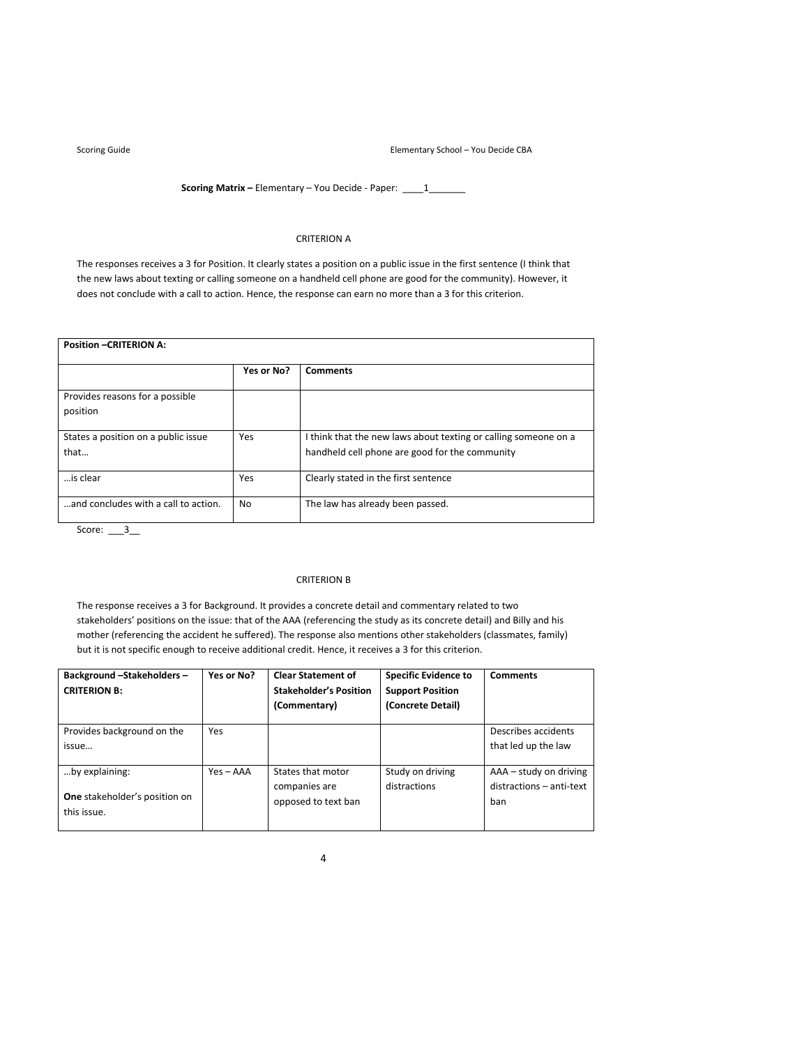Scoring Guide **School – You Decide CBA Elementary School – You Decide CBA** 

**Scoring Matrix** – Elementary – You Decide - Paper: \_\_\_\_1\_\_\_\_\_\_\_

# CRITERION A

The responses receives a 3 for Position. It clearly states a position on a public issue in the first sentence (I think that the new laws about texting or calling someone on a handheld cell phone are good for the community). However, it does not conclude with a call to action. Hence, the response can earn no more than a 3 for this criterion.

| <b>Position -CRITERION A:</b>               |            |                                                                                                                   |  |  |  |
|---------------------------------------------|------------|-------------------------------------------------------------------------------------------------------------------|--|--|--|
|                                             | Yes or No? | <b>Comments</b>                                                                                                   |  |  |  |
| Provides reasons for a possible<br>position |            |                                                                                                                   |  |  |  |
| States a position on a public issue<br>that | Yes        | I think that the new laws about texting or calling someone on a<br>handheld cell phone are good for the community |  |  |  |
| is clear                                    | Yes        | Clearly stated in the first sentence                                                                              |  |  |  |
| and concludes with a call to action.        | No         | The law has already been passed.                                                                                  |  |  |  |

Score: \_\_\_3\_\_

# CRITERION B

The response receives a 3 for Background. It provides a concrete detail and commentary related to two stakeholders' positions on the issue: that of the AAA (referencing the study as its concrete detail) and Billy and his mother (referencing the accident he suffered). The response also mentions other stakeholders (classmates, family) but it is not specific enough to receive additional credit. Hence, it receives a 3 for this criterion.

| Background-Stakeholders-<br><b>CRITERION B:</b>     | Yes or No?  | <b>Clear Statement of</b><br><b>Stakeholder's Position</b><br>(Commentary) | <b>Specific Evidence to</b><br><b>Support Position</b><br>(Concrete Detail) | <b>Comments</b>          |
|-----------------------------------------------------|-------------|----------------------------------------------------------------------------|-----------------------------------------------------------------------------|--------------------------|
| Provides background on the                          | <b>Yes</b>  |                                                                            |                                                                             | Describes accidents      |
| issue                                               |             |                                                                            |                                                                             | that led up the law      |
| by explaining:                                      | $Yes - AAA$ | States that motor                                                          | Study on driving                                                            | AAA – study on driving   |
|                                                     |             | companies are                                                              | distractions                                                                | distractions - anti-text |
| <b>One</b> stakeholder's position on<br>this issue. |             | opposed to text ban                                                        |                                                                             | ban                      |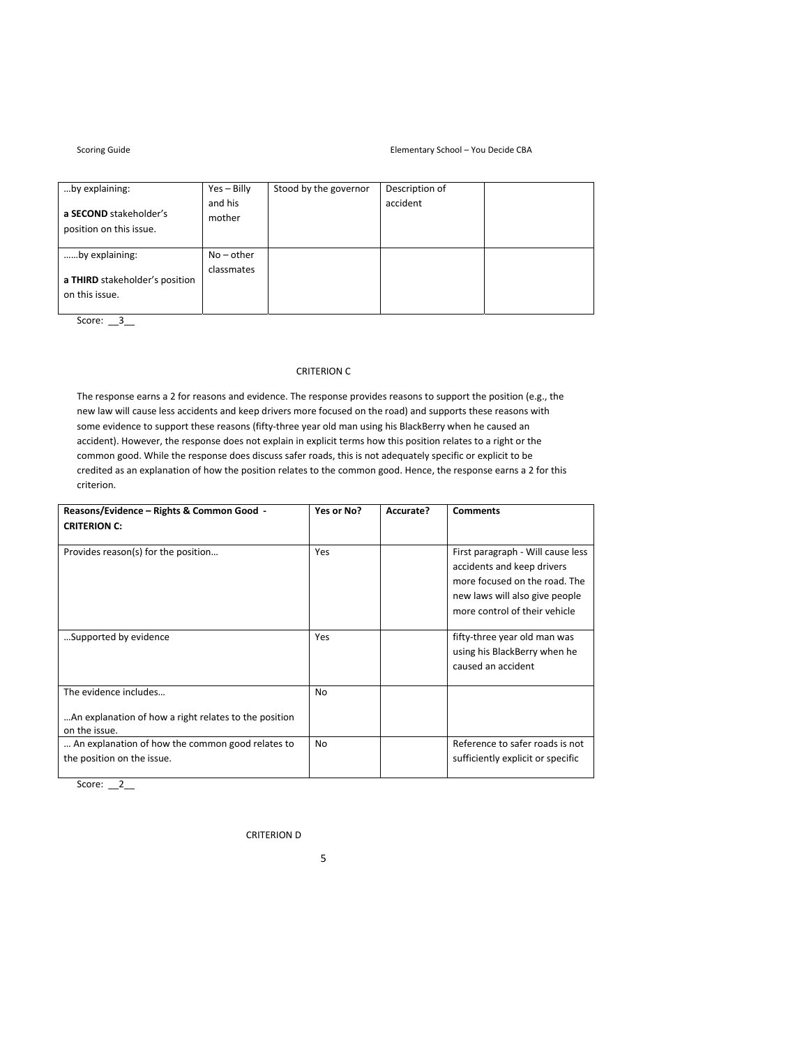### Elementary School – You Decide CBA

| Scoring Guide |  |
|---------------|--|
|               |  |

| by explaining:                                    | $Yes - Billy$     | Stood by the governor | Description of |  |
|---------------------------------------------------|-------------------|-----------------------|----------------|--|
| a SECOND stakeholder's<br>position on this issue. | and his<br>mother |                       | accident       |  |
| by explaining:                                    | $No$ – other      |                       |                |  |
| a THIRD stakeholder's position<br>on this issue.  | classmates        |                       |                |  |

Score:  $\frac{3}{2}$ 

# CRITERION C

The response earns a 2 for reasons and evidence. The response provides reasons to support the position (e.g., the new law will cause less accidents and keep drivers more focused on the road) and supports these reasons with some evidence to support these reasons (fifty-three year old man using his BlackBerry when he caused an accident). However, the response does not explain in explicit terms how this position relates to a right or the common good. While the response does discuss safer roads, this is not adequately specific or explicit to be credited as an explanation of how the position relates to the common good. Hence, the response earns a 2 for this criterion.

| Reasons/Evidence - Rights & Common Good -<br><b>CRITERION C:</b>                                | Yes or No? | Accurate? | <b>Comments</b>                                                                                                                                                     |
|-------------------------------------------------------------------------------------------------|------------|-----------|---------------------------------------------------------------------------------------------------------------------------------------------------------------------|
| Provides reason(s) for the position                                                             | Yes        |           | First paragraph - Will cause less<br>accidents and keep drivers<br>more focused on the road. The<br>new laws will also give people<br>more control of their vehicle |
| Supported by evidence                                                                           | Yes        |           | fifty-three year old man was<br>using his BlackBerry when he<br>caused an accident                                                                                  |
| The evidence includes<br>An explanation of how a right relates to the position<br>on the issue. | <b>No</b>  |           |                                                                                                                                                                     |
| An explanation of how the common good relates to<br>the position on the issue.                  | <b>No</b>  |           | Reference to safer roads is not<br>sufficiently explicit or specific                                                                                                |

Score:  $2$ 

CRITERION D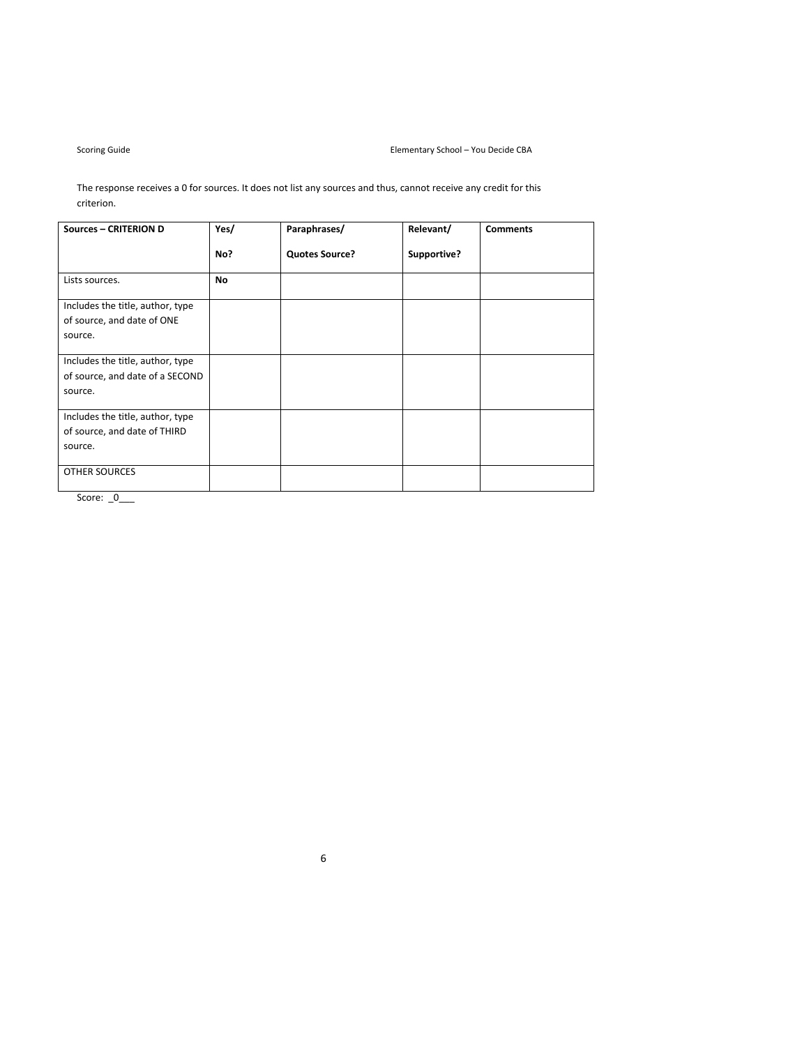The response receives a 0 for sources. It does not list any sources and thus, cannot receive any credit for this criterion.

| Yes/      | Paraphrases/                    | Relevant/   | <b>Comments</b> |
|-----------|---------------------------------|-------------|-----------------|
| No?       | <b>Quotes Source?</b>           | Supportive? |                 |
| <b>No</b> |                                 |             |                 |
|           |                                 |             |                 |
|           |                                 |             |                 |
|           |                                 |             |                 |
|           |                                 |             |                 |
|           |                                 |             |                 |
|           |                                 |             |                 |
|           |                                 |             |                 |
|           |                                 |             |                 |
|           |                                 |             |                 |
|           |                                 |             |                 |
|           | of source, and date of a SECOND |             |                 |

Score: \_0\_\_\_\_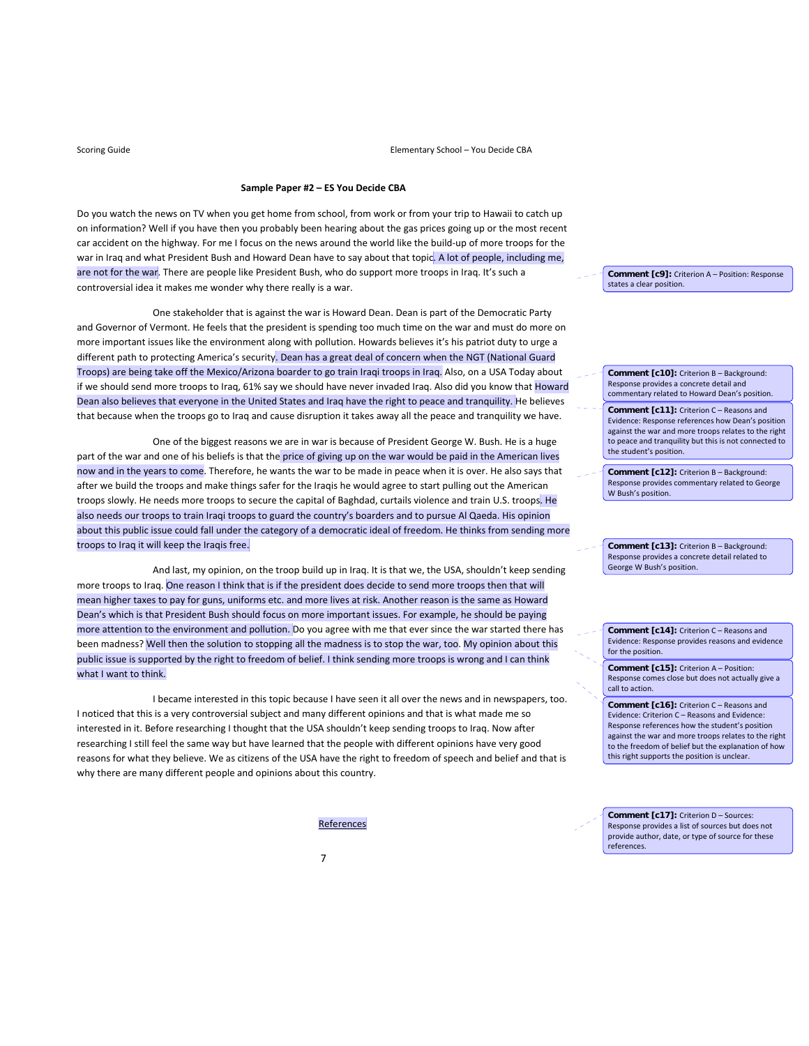# **Sample Paper #2 – ES You Decide CBA**

Do you watch the news on TV when you get home from school, from work or from your trip to Hawaii to catch up on information? Well if you have then you probably been hearing about the gas prices going up or the most recent car accident on the highway. For me I focus on the news around the world like the build-up of more troops for the war in Iraq and what President Bush and Howard Dean have to say about that topic. A lot of people, including me, are not for the war. There are people like President Bush, who do support more troops in Iraq. It's such a controversial idea it makes me wonder why there really is a war.

 One stakeholder that is against the war is Howard Dean. Dean is part of the Democratic Party and Governor of Vermont. He feels that the president is spending too much time on the war and must do more on more important issues like the environment along with pollution. Howards believes it's his patriot duty to urge a different path to protecting America's security. Dean has a great deal of concern when the NGT (National Guard Troops) are being take off the Mexico/Arizona boarder to go train Iraqi troops in Iraq. Also, on a USA Today about if we should send more troops to Iraq, 61% say we should have never invaded Iraq. Also did you know that Howard Dean also believes that everyone in the United States and Iraq have the right to peace and tranquility. He believes that because when the troops go to Iraq and cause disruption it takes away all the peace and tranquility we have.

 One of the biggest reasons we are in war is because of President George W. Bush. He is a huge part of the war and one of his beliefs is that the price of giving up on the war would be paid in the American lives now and in the years to come. Therefore, he wants the war to be made in peace when it is over. He also says that after we build the troops and make things safer for the Iraqis he would agree to start pulling out the American troops slowly. He needs more troops to secure the capital of Baghdad, curtails violence and train U.S. troops. He also needs our troops to train Iraqi troops to guard the country's boarders and to pursue Al Qaeda. His opinion about this public issue could fall under the category of a democratic ideal of freedom. He thinks from sending more troops to Iraq it will keep the Iraqis free.

 And last, my opinion, on the troop build up in Iraq. It is that we, the USA, shouldn't keep sending more troops to Iraq. One reason I think that is if the president does decide to send more troops then that will mean higher taxes to pay for guns, uniforms etc. and more lives at risk. Another reason is the same as Howard Dean's which is that President Bush should focus on more important issues. For example, he should be paying more attention to the environment and pollution. Do you agree with me that ever since the war started there has been madness? Well then the solution to stopping all the madness is to stop the war, too. My opinion about this public issue is supported by the right to freedom of belief. I think sending more troops is wrong and I can think what I want to think.

 I became interested in this topic because I have seen it all over the news and in newspapers, too. I noticed that this is a very controversial subject and many different opinions and that is what made me so interested in it. Before researching I thought that the USA shouldn't keep sending troops to Iraq. Now after researching I still feel the same way but have learned that the people with different opinions have very good reasons for what they believe. We as citizens of the USA have the right to freedom of speech and belief and that is why there are many different people and opinions about this country.

References

**Comment [c9]:** Criterion A – Position: Response states a clear position.

**Comment [c10]:** Criterion B – Background: Response provides a concrete detail and commentary related to Howard Dean's position.

**Comment [c11]:** Criterion C – Reasons and Evidence: Response references how Dean's position against the war and more troops relates to the right to peace and tranquility but this is not connected to the student's position.

**Comment [c12]:** Criterion B – Background: Response provides commentary related to George W Bush's position.

**Comment [c13]:** Criterion B – Background: Response provides a concrete detail related to George W Bush's position.

**Comment [c14]:** Criterion C – Reasons and Evidence: Response provides reasons and evidence for the position.

**Comment [c15]:** Criterion A – Position: Response comes close but does not actually give a call to action.

**Comment [c16]:** Criterion C – Reasons and Evidence: Criterion C – Reasons and Evidence: Response references how the student's position against the war and more troops relates to the right to the freedom of belief but the explanation of how this right supports the position is unclear.

**Comment [c17]:** Criterion D – Sources: Response provides a list of sources but does not provide author, date, or type of source for these references.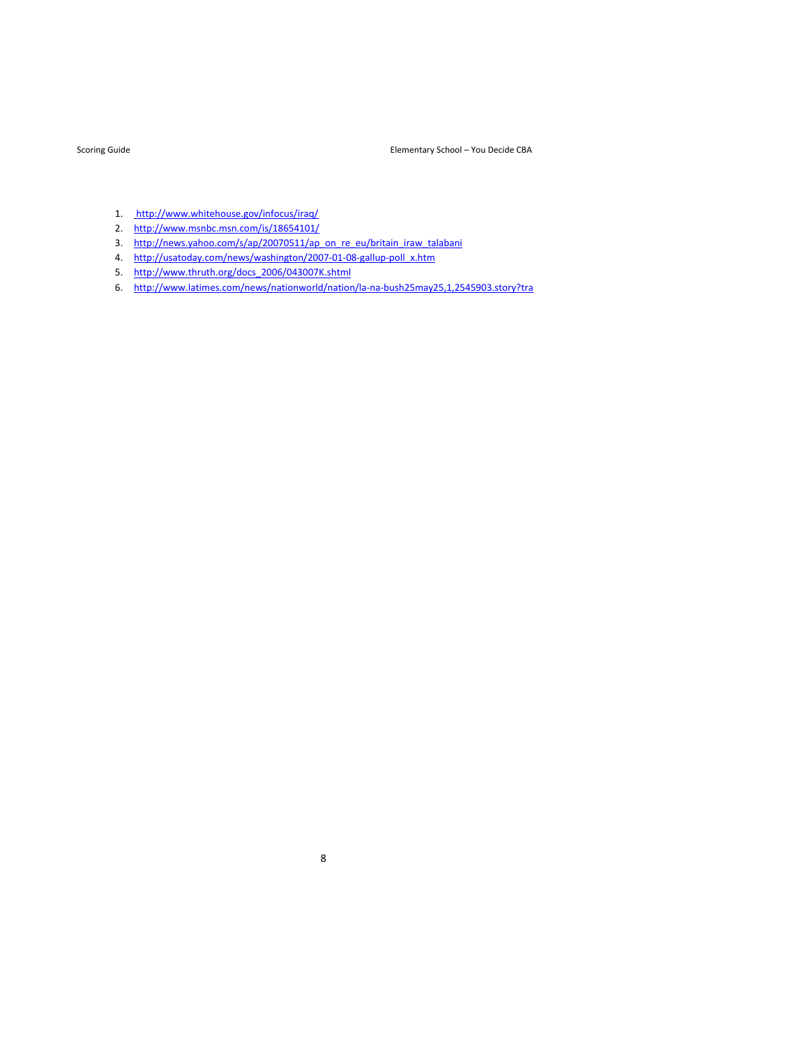- 1. http://www.whitehouse.gov/infocus/iraq/
- 2. http://www.msnbc.msn.com/is/18654101/
- 3. http://news.yahoo.com/s/ap/20070511/ap\_on\_re\_eu/britain\_iraw\_talabani
- 4. http://usatoday.com/news/washington/2007-01-08-gallup-poll\_x.htm
- 5. http://www.thruth.org/docs\_2006/043007K.shtml
- 6. http://www.latimes.com/news/nationworld/nation/la‐na‐bush25may25,1,2545903.story?tra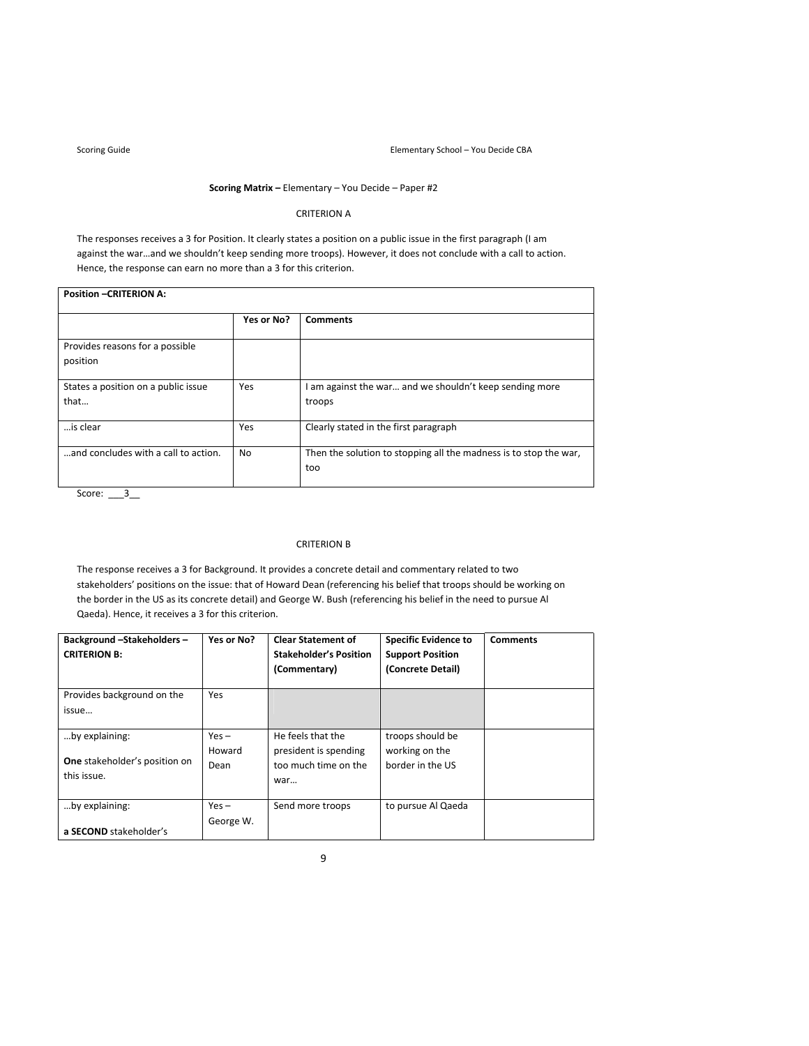┓

# **Scoring Matrix –** Elementary – You Decide – Paper #2

# CRITERION A

The responses receives a 3 for Position. It clearly states a position on a public issue in the first paragraph (I am against the war…and we shouldn't keep sending more troops). However, it does not conclude with a call to action. Hence, the response can earn no more than a 3 for this criterion.

| <b>Position -CRITERION A:</b>               |            |                                                                          |  |  |  |
|---------------------------------------------|------------|--------------------------------------------------------------------------|--|--|--|
|                                             | Yes or No? | <b>Comments</b>                                                          |  |  |  |
| Provides reasons for a possible<br>position |            |                                                                          |  |  |  |
| States a position on a public issue<br>that | Yes        | I am against the war and we shouldn't keep sending more<br>troops        |  |  |  |
| is clear                                    | Yes        | Clearly stated in the first paragraph                                    |  |  |  |
| and concludes with a call to action.        | No.        | Then the solution to stopping all the madness is to stop the war,<br>too |  |  |  |

Score:  $\frac{3}{2}$ 

## CRITERION B

The response receives a 3 for Background. It provides a concrete detail and commentary related to two stakeholders' positions on the issue: that of Howard Dean (referencing his belief that troops should be working on the border in the US as its concrete detail) and George W. Bush (referencing his belief in the need to pursue Al Qaeda). Hence, it receives a 3 for this criterion.

| Background-Stakeholders-<br><b>CRITERION B:</b> | Yes or No?           | <b>Clear Statement of</b><br><b>Stakeholder's Position</b><br>(Commentary) | <b>Specific Evidence to</b><br><b>Support Position</b><br>(Concrete Detail) | <b>Comments</b> |
|-------------------------------------------------|----------------------|----------------------------------------------------------------------------|-----------------------------------------------------------------------------|-----------------|
| Provides background on the<br>issue             | Yes                  |                                                                            |                                                                             |                 |
| by explaining:                                  | $Yes -$              | He feels that the                                                          | troops should be                                                            |                 |
| One stakeholder's position on<br>this issue.    | Howard<br>Dean       | president is spending<br>too much time on the<br>war                       | working on the<br>border in the US                                          |                 |
| by explaining:                                  | $Yes -$<br>George W. | Send more troops                                                           | to pursue Al Qaeda                                                          |                 |
| a SECOND stakeholder's                          |                      |                                                                            |                                                                             |                 |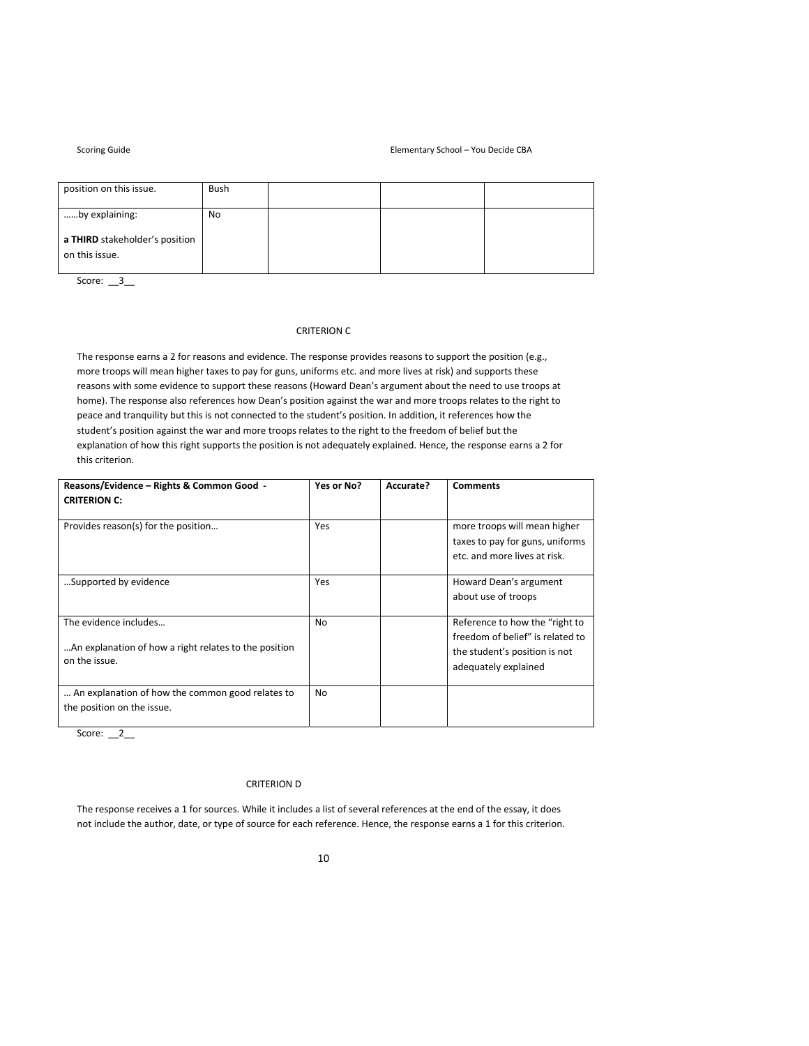### Scoring Guide **School – You Decide CBA Elementary School – You Decide CBA**

| position on this issue.                          | Bush |  |  |
|--------------------------------------------------|------|--|--|
| by explaining:                                   | No   |  |  |
| a THIRD stakeholder's position<br>on this issue. |      |  |  |
|                                                  |      |  |  |

Score: \_\_3\_\_

# CRITERION C

The response earns a 2 for reasons and evidence. The response provides reasons to support the position (e.g., more troops will mean higher taxes to pay for guns, uniforms etc. and more lives at risk) and supports these reasons with some evidence to support these reasons (Howard Dean's argument about the need to use troops at home). The response also references how Dean's position against the war and more troops relates to the right to peace and tranquility but this is not connected to the student's position. In addition, it references how the student's position against the war and more troops relates to the right to the freedom of belief but the explanation of how this right supports the position is not adequately explained. Hence, the response earns a 2 for this criterion.

| Reasons/Evidence - Rights & Common Good -<br><b>CRITERION C:</b>                                | Yes or No?     | Accurate? | <b>Comments</b>                                                                                                             |
|-------------------------------------------------------------------------------------------------|----------------|-----------|-----------------------------------------------------------------------------------------------------------------------------|
| Provides reason(s) for the position                                                             | Yes            |           | more troops will mean higher<br>taxes to pay for guns, uniforms<br>etc. and more lives at risk.                             |
| Supported by evidence                                                                           | Yes            |           | Howard Dean's argument<br>about use of troops                                                                               |
| The evidence includes<br>An explanation of how a right relates to the position<br>on the issue. | <b>No</b>      |           | Reference to how the "right to<br>freedom of belief" is related to<br>the student's position is not<br>adequately explained |
| An explanation of how the common good relates to<br>the position on the issue.                  | N <sub>0</sub> |           |                                                                                                                             |

Score:  $2_$ 

# CRITERION D

The response receives a 1 for sources. While it includes a list of several references at the end of the essay, it does not include the author, date, or type of source for each reference. Hence, the response earns a 1 for this criterion.